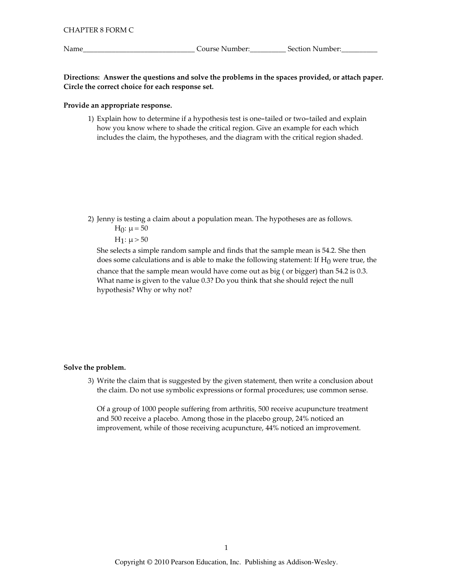Name\_

Directions: Answer the questions and solve the problems in the spaces provided, or attach paper. Circle the correct choice for each response set.

## Provide an appropriate response.

1) Explain how to determine if a hypothesis test is one-tailed or two-tailed and explain how you know where to shade the critical region. Give an example for each which includes the claim, the hypotheses, and the diagram with the critical region shaded.

2) Jenny is testing a claim about a population mean. The hypotheses are as follows.

H<sub>0</sub>:  $\mu$  = 50  $H_1: \mu > 50$ 

She selects a simple random sample and finds that the sample mean is 54.2. She then does some calculations and is able to make the following statement: If  $H_0$  were true, the chance that the sample mean would have come out as big (or bigger) than 54.2 is 0.3. What name is given to the value 0.3? Do you think that she should reject the null hypothesis? Why or why not?

### Solve the problem.

3) Write the claim that is suggested by the given statement, then write a conclusion about the claim. Do not use symbolic expressions or formal procedures; use common sense.

Of a group of 1000 people suffering from arthritis, 500 receive acupuncture treatment and 500 receive a placebo. Among those in the placebo group, 24% noticed an improvement, while of those receiving acupuncture, 44% noticed an improvement.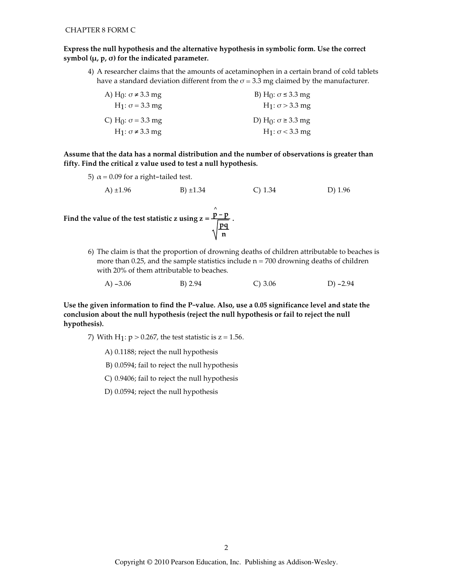## Express the null hypothesis and the alternative hypothesis in symbolic form. Use the correct symbol  $(\mu, p, \sigma)$  for the indicated parameter.

4) A researcher claims that the amounts of acetaminophen in a certain brand of cold tablets have a standard deviation different from the  $\sigma$  = 3.3 mg claimed by the manufacturer.

| A) H <sub>(1</sub> : $\sigma \neq 3.3$ mg | B) H <sub>0</sub> : $σ ≤ 3.3$ mg         |
|-------------------------------------------|------------------------------------------|
| $H_1: \sigma = 3.3$ mg                    | $H_1: \sigma > 3.3$ mg                   |
| C) H <sub>0</sub> : $\sigma$ = 3.3 mg     | D) H <sub>0</sub> : $\sigma \geq 3.3$ mg |
| $H_1: \sigma \neq 3.3$ mg                 | $H_1: \sigma < 3.3$ mg                   |

Assume that the data has a normal distribution and the number of observations is greater than fifty. Find the critical z value used to test a null hypothesis.

5)  $\alpha$  = 0.09 for a right-tailed test.

A) 
$$
\pm 1.96
$$
 B)  $\pm 1.34$  C) 1.34 D) 1.96

Find the value of the test statistic z using  $z = \frac{p - p}{\sqrt{\frac{pq}{n}}}$ .

6) The claim is that the proportion of drowning deaths of children attributable to beaches is more than 0.25, and the sample statistics include  $n = 700$  drowning deaths of children with 20% of them attributable to beaches.

|  | A) $-3.06$ | B) 2.94 | C) 3.06 | D) $-2.94$ |
|--|------------|---------|---------|------------|
|--|------------|---------|---------|------------|

Use the given information to find the P-value. Also, use a 0.05 significance level and state the conclusion about the null hypothesis (reject the null hypothesis or fail to reject the null hypothesis).

7) With H<sub>1</sub>:  $p > 0.267$ , the test statistic is  $z = 1.56$ .

A) 0.1188; reject the null hypothesis

B) 0.0594; fail to reject the null hypothesis

C) 0.9406; fail to reject the null hypothesis

D) 0.0594; reject the null hypothesis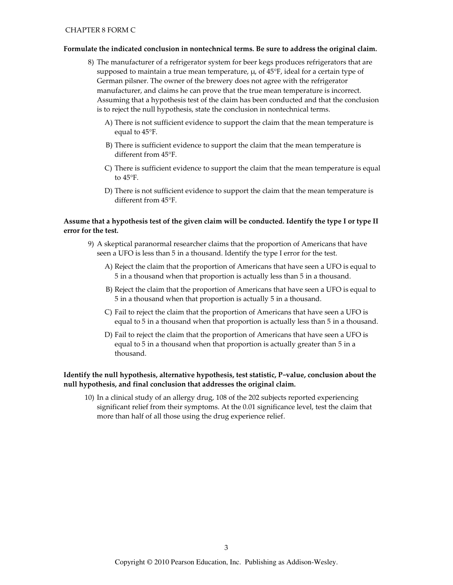## Formulate the indicated conclusion in nontechnical terms. Be sure to address the original claim.

- 8) The manufacturer of a refrigerator system for beer kegs produces refrigerators that are supposed to maintain a true mean temperature,  $\mu$ , of 45°F, ideal for a certain type of German pilsner. The owner of the brewery does not agree with the refrigerator manufacturer, and claims he can prove that the true mean temperature is incorrect. Assuming that a hypothesis test of the claim has been conducted and that the conclusion is to reject the null hypothesis, state the conclusion in nontechnical terms.
	- A) There is not sufficient evidence to support the claim that the mean temperature is equal to  $45^{\circ}$ F.
	- B) There is sufficient evidence to support the claim that the mean temperature is different from 45°F.
	- C) There is sufficient evidence to support the claim that the mean temperature is equal to 45°F.
	- D) There is not sufficient evidence to support the claim that the mean temperature is different from 45°F.

## Assume that a hypothesis test of the given claim will be conducted. Identify the type I or type II error for the test.

- 9) A skeptical paranormal researcher claims that the proportion of Americans that have seen a UFO is less than 5 in a thousand. Identify the type I error for the test.
	- A) Reject the claim that the proportion of Americans that have seen a UFO is equal to 5 in a thousand when that proportion is actually less than 5 in a thousand.
	- B) Reject the claim that the proportion of Americans that have seen a UFO is equal to 5 in a thousand when that proportion is actually 5 in a thousand.
	- C) Fail to reject the claim that the proportion of Americans that have seen a UFO is equal to 5 in a thousand when that proportion is actually less than 5 in a thousand.
	- D) Fail to reject the claim that the proportion of Americans that have seen a UFO is equal to 5 in a thousand when that proportion is actually greater than 5 in a thousand.

## Identify the null hypothesis, alternative hypothesis, test statistic, P-value, conclusion about the null hypothesis, and final conclusion that addresses the original claim.

10) In a clinical study of an allergy drug, 108 of the 202 subjects reported experiencing significant relief from their symptoms. At the 0.01 significance level, test the claim that more than half of all those using the drug experience relief.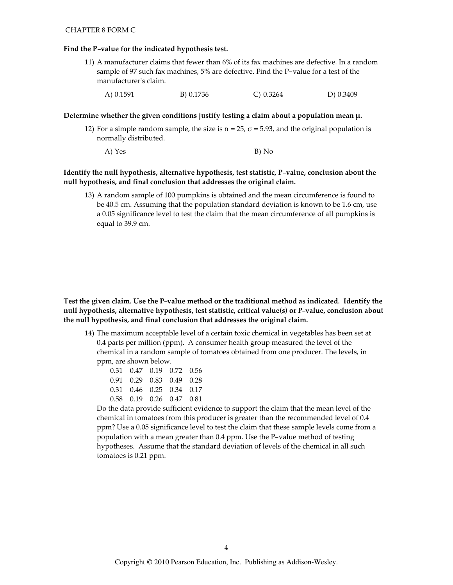#### **CHAPTER 8 FORM C**

#### Find the P-value for the indicated hypothesis test.

- 11) A manufacturer claims that fewer than 6% of its fax machines are defective. In a random sample of 97 such fax machines, 5% are defective. Find the P-value for a test of the manufacturer's claim.
	- $C) 0.3264$ A) 0.1591 B) 0.1736 D) 0.3409

### Determine whether the given conditions justify testing a claim about a population mean  $\mu$ .

- 12) For a simple random sample, the size is  $n = 25$ ,  $\sigma = 5.93$ , and the original population is normally distributed.
	- A) Yes B) No

## Identify the null hypothesis, alternative hypothesis, test statistic, P-value, conclusion about the null hypothesis, and final conclusion that addresses the original claim.

13) A random sample of 100 pumpkins is obtained and the mean circumference is found to be 40.5 cm. Assuming that the population standard deviation is known to be 1.6 cm, use a 0.05 significance level to test the claim that the mean circumference of all pumpkins is equal to 39.9 cm.

Test the given claim. Use the P-value method or the traditional method as indicated. Identify the null hypothesis, alternative hypothesis, test statistic, critical value(s) or P-value, conclusion about the null hypothesis, and final conclusion that addresses the original claim.

14) The maximum acceptable level of a certain toxic chemical in vegetables has been set at 0.4 parts per million (ppm). A consumer health group measured the level of the chemical in a random sample of tomatoes obtained from one producer. The levels, in ppm, are shown below.

|  | 0.31 0.47 0.19 0.72 0.56 |  |
|--|--------------------------|--|
|  | 0.91 0.29 0.83 0.49 0.28 |  |
|  | 0.31 0.46 0.25 0.34 0.17 |  |
|  | 0.58 0.19 0.26 0.47 0.81 |  |

Do the data provide sufficient evidence to support the claim that the mean level of the chemical in tomatoes from this producer is greater than the recommended level of 0.4 ppm? Use a 0.05 significance level to test the claim that these sample levels come from a population with a mean greater than 0.4 ppm. Use the P-value method of testing hypotheses. Assume that the standard deviation of levels of the chemical in all such tomatoes is 0.21 ppm.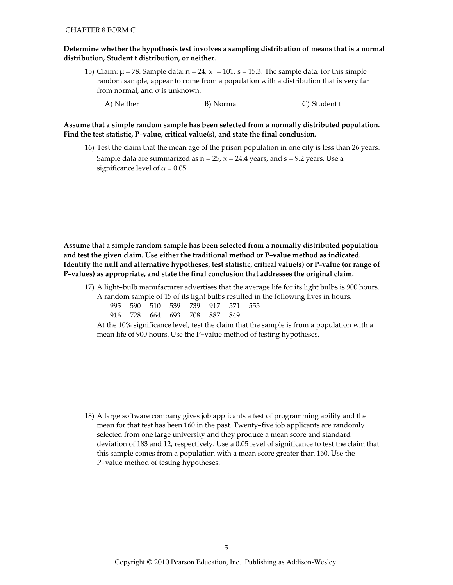## Determine whether the hypothesis test involves a sampling distribution of means that is a normal distribution, Student t distribution, or neither.

- 15) Claim:  $\mu$  = 78. Sample data:  $n = 24$ ,  $\overline{x} = 101$ , s = 15.3. The sample data, for this simple random sample, appear to come from a population with a distribution that is very far from normal, and  $\sigma$  is unknown.
	- C) Student t A) Neither B) Normal

Assume that a simple random sample has been selected from a normally distributed population. Find the test statistic, P-value, critical value(s), and state the final conclusion.

16) Test the claim that the mean age of the prison population in one city is less than 26 years. Sample data are summarized as  $n = 25$ ,  $\overline{x} = 24.4$  years, and s = 9.2 years. Use a significance level of  $\alpha$  = 0.05.

Assume that a simple random sample has been selected from a normally distributed population and test the given claim. Use either the traditional method or P-value method as indicated. Identify the null and alternative hypotheses, test statistic, critical value(s) or P-value (or range of P-values) as appropriate, and state the final conclusion that addresses the original claim.

17) A light-bulb manufacturer advertises that the average life for its light bulbs is 900 hours. A random sample of 15 of its light bulbs resulted in the following lives in hours.

|  |  | 995 590 510 539 739 917 571 555 |  |  |
|--|--|---------------------------------|--|--|
|  |  | 916 728 664 693 708 887 849     |  |  |

At the 10% significance level, test the claim that the sample is from a population with a mean life of 900 hours. Use the P-value method of testing hypotheses.

18) A large software company gives job applicants a test of programming ability and the mean for that test has been 160 in the past. Twenty-five job applicants are randomly selected from one large university and they produce a mean score and standard deviation of 183 and 12, respectively. Use a 0.05 level of significance to test the claim that this sample comes from a population with a mean score greater than 160. Use the P-value method of testing hypotheses.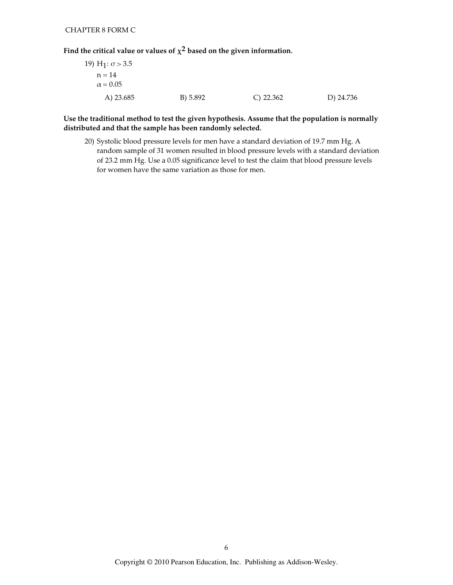Find the critical value or values of  $\chi^2$  based on the given information.

| 19) H <sub>1</sub> : σ > 3.5 |          |              |           |
|------------------------------|----------|--------------|-----------|
| $n = 14$                     |          |              |           |
| $\alpha = 0.05$              |          |              |           |
| A) 23.685                    | B) 5.892 | $C$ ) 22.362 | D) 24.736 |

Use the traditional method to test the given hypothesis. Assume that the population is normally distributed and that the sample has been randomly selected.

20) Systolic blood pressure levels for men have a standard deviation of 19.7 mm Hg. A random sample of 31 women resulted in blood pressure levels with a standard deviation of 23.2 mm Hg. Use a 0.05 significance level to test the claim that blood pressure levels for women have the same variation as those for men.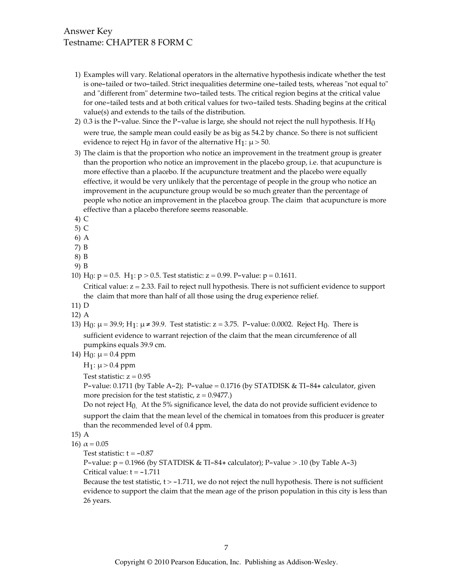# Answer Key Testname: CHAPTER 8 FORM C

- 1) Examples will vary. Relational operators in the alternative hypothesis indicate whether the test is one-tailed or two-tailed. Strict inequalities determine one-tailed tests, whereas "not equal to" and "different from" determine two-tailed tests. The critical region begins at the critical value for one-tailed tests and at both critical values for two-tailed tests. Shading begins at the critical value(s) and extends to the tails of the distribution.
- 2) 0.3 is the P-value. Since the P-value is large, she should not reject the null hypothesis. If  $H_0$ were true, the sample mean could easily be as big as 54.2 by chance. So there is not sufficient evidence to reject H<sub>0</sub> in favor of the alternative H<sub>1</sub>:  $\mu$  > 50.
- 3) The claim is that the proportion who notice an improvement in the treatment group is greater than the proportion who notice an improvement in the placebo group, i.e. that acupuncture is more effective than a placebo. If the acupuncture treatment and the placebo were equally effective, it would be very unlikely that the percentage of people in the group who notice an improvement in the acupuncture group would be so much greater than the percentage of people who notice an improvement in the placeboa group. The claim that acupuncture is more effective than a placebo therefore seems reasonable.
- 4) C
- $5)$  C
- 6) A
- $7) B$
- 8) B
- 9) B
- 10) H<sub>0</sub>:  $p = 0.5$ . H<sub>1</sub>:  $p > 0.5$ . Test statistic:  $z = 0.99$ . P-value:  $p = 0.1611$ .

Critical value:  $z = 2.33$ . Fail to reject null hypothesis. There is not sufficient evidence to support the claim that more than half of all those using the drug experience relief.

- 11) D
- 12) A
- 13) H<sub>0</sub>:  $\mu$  = 39.9; H<sub>1</sub>:  $\mu$  ≠ 39.9. Test statistic: z = 3.75. P-value: 0.0002. Reject H<sub>0</sub>. There is sufficient evidence to warrant rejection of the claim that the mean circumference of all pumpkins equals 39.9 cm.
- 14)  $H_0$ :  $\mu$  = 0.4 ppm

 $H_1: \mu > 0.4$  ppm

Test statistic:  $z = 0.95$ 

P-value: 0.1711 (by Table A-2); P-value = 0.1716 (by STATDISK & TI-84+ calculator, given more precision for the test statistic,  $z = 0.9477$ .)

Do not reject  $H_0$  At the 5% significance level, the data do not provide sufficient evidence to support the claim that the mean level of the chemical in tomatoes from this producer is greater than the recommended level of 0.4 ppm.

- 15) A
- 16)  $\alpha = 0.05$

Test statistic:  $t = -0.87$ 

P-value:  $p = 0.1966$  (by STATDISK & TI-84+ calculator); P-value > .10 (by Table A-3) Critical value:  $t = -1.711$ 

Because the test statistic,  $t > -1.711$ , we do not reject the null hypothesis. There is not sufficient evidence to support the claim that the mean age of the prison population in this city is less than 26 years.